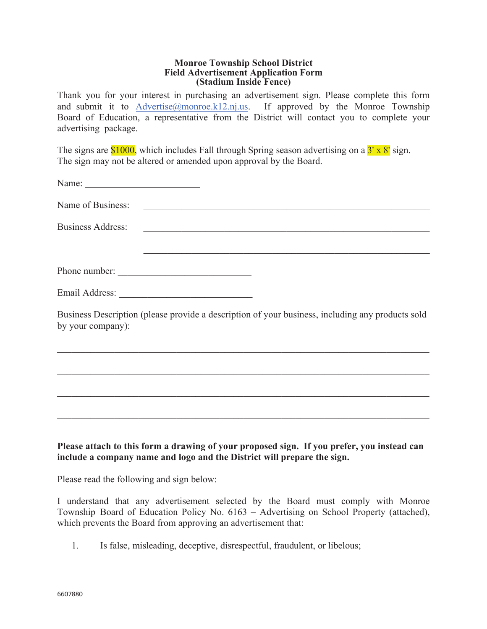## **Monroe Township School District Field Advertisement Application Form (Stadium Inside Fence)**

Thank you for your interest in purchasing an advertisement sign. Please complete this form and submit it to Advertise@monroe.k12.nj.us. If approved by the Monroe Township Board of Education, a representative from the District will contact you to complete your advertising package.

The signs are  $$1000$ , which includes Fall through Spring season advertising on a  $3' \times 8'$  sign. The sign may not be altered or amended upon approval by the Board.

|                          | Name of Business:                                                                                |  |
|--------------------------|--------------------------------------------------------------------------------------------------|--|
| <b>Business Address:</b> |                                                                                                  |  |
|                          |                                                                                                  |  |
|                          | Phone number:                                                                                    |  |
|                          |                                                                                                  |  |
| by your company):        | Business Description (please provide a description of your business, including any products sold |  |
|                          |                                                                                                  |  |
|                          |                                                                                                  |  |
|                          |                                                                                                  |  |
|                          |                                                                                                  |  |

**Please attach to this form a drawing of your proposed sign. If you prefer, you instead can include a company name and logo and the District will prepare the sign.** 

Please read the following and sign below:

I understand that any advertisement selected by the Board must comply with Monroe Township Board of Education Policy No. 6163 – Advertising on School Property (attached), which prevents the Board from approving an advertisement that:

1. Is false, misleading, deceptive, disrespectful, fraudulent, or libelous;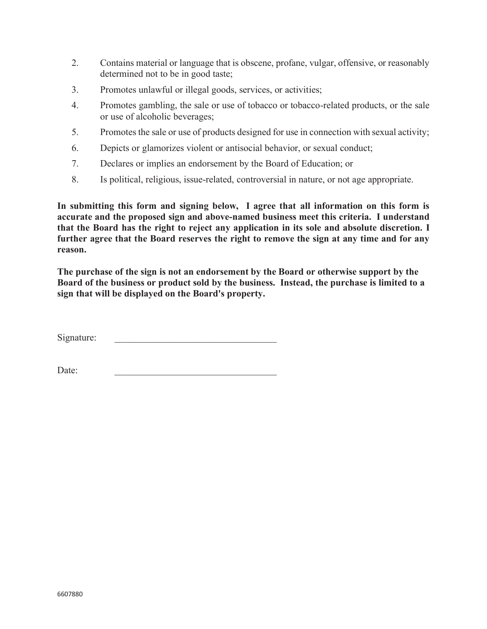- 2. Contains material or language that is obscene, profane, vulgar, offensive, or reasonably determined not to be in good taste;
- 3. Promotes unlawful or illegal goods, services, or activities;
- 4. Promotes gambling, the sale or use of tobacco or tobacco-related products, or the sale or use of alcoholic beverages;
- 5. Promotes the sale or use of products designed for use in connection with sexual activity;
- 6. Depicts or glamorizes violent or antisocial behavior, or sexual conduct;
- 7. Declares or implies an endorsement by the Board of Education; or
- 8. Is political, religious, issue-related, controversial in nature, or not age appropriate.

**In submitting this form and signing below, I agree that all information on this form is accurate and the proposed sign and above-named business meet this criteria. I understand that the Board has the right to reject any application in its sole and absolute discretion. I further agree that the Board reserves the right to remove the sign at any time and for any reason.** 

**The purchase of the sign is not an endorsement by the Board or otherwise support by the Board of the business or product sold by the business. Instead, the purchase is limited to a sign that will be displayed on the Board's property.** 

Signature:

 $Date:$